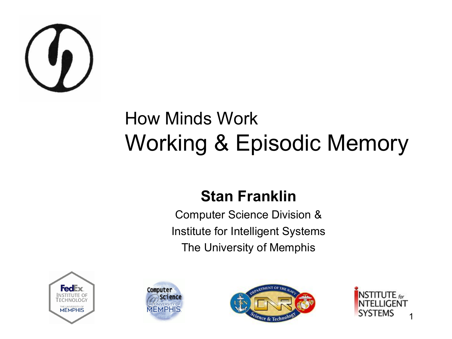

#### How Minds Work Working & Episodic Memory

#### **Stan Franklin**

Computer Science Division & Institute for Intelligent Systems The University of Memphis







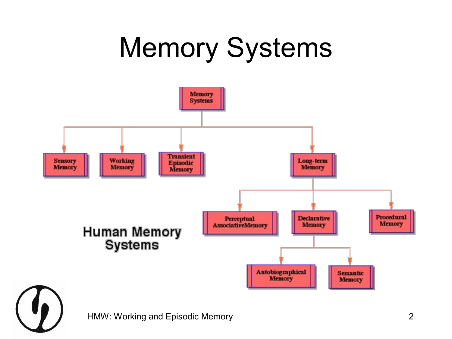#### Memory Systems



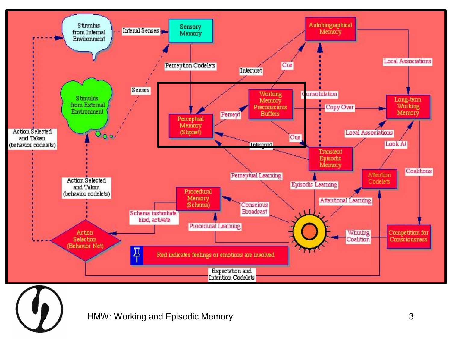

HMW: Working and Episodic Memory **3** 3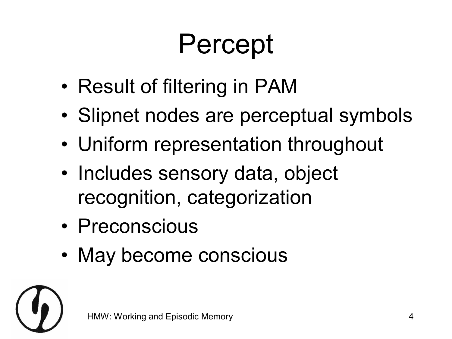#### Percept

- Result of filtering in PAM
- Slipnet nodes are perceptual symbols
- Uniform representation throughout
- Includes sensory data, object recognition, categorization
- Preconscious
- May become conscious

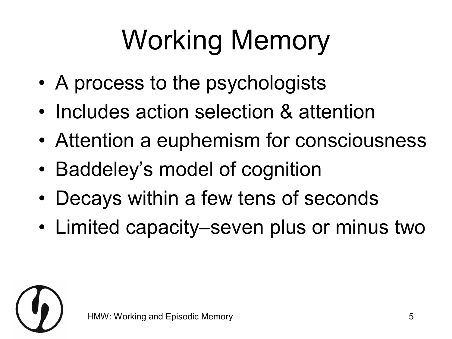# Working Memory

- A process to the psychologists
- Includes action selection & attention
- Attention a euphemism for consciousness
- Baddeley's model of cognition
- Decays within a few tens of seconds
- Limited capacity–seven plus or minus two

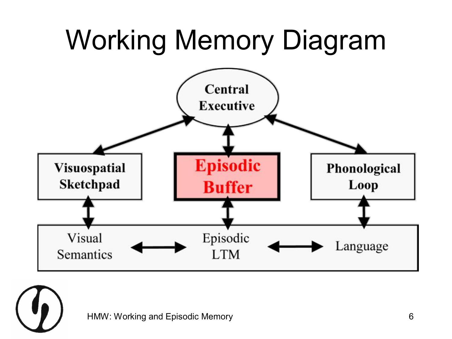

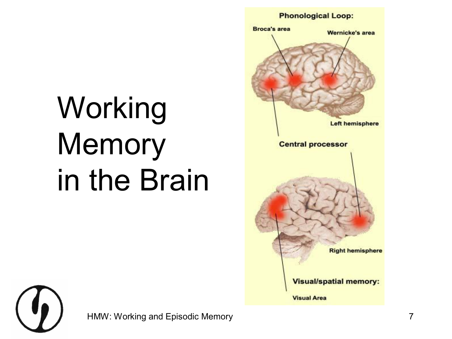#### **Phonological Loop:**



# Working **Memory** in the Brain



HMW: Working and Episodic Memory **7** and 2008 and 2008 and 2008 and 2008 and 2008 and 2008 and 2008 and 2008 and 2008 and 2008 and 2008 and 2008 and 2008 and 2008 and 2008 and 2008 and 2008 and 2008 and 2008 and 2008 and 2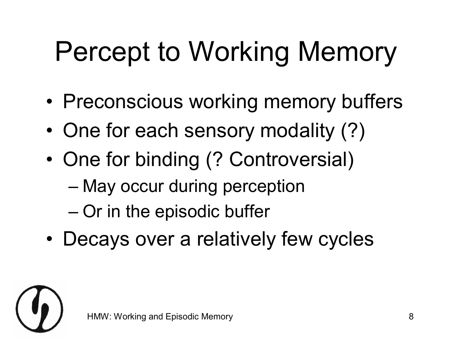#### Percept to Working Memory

- Preconscious working memory buffers
- One for each sensory modality (?)
- One for binding (? Controversial)
	- May occur during perception
	- Or in the episodic buffer
- Decays over a relatively few cycles

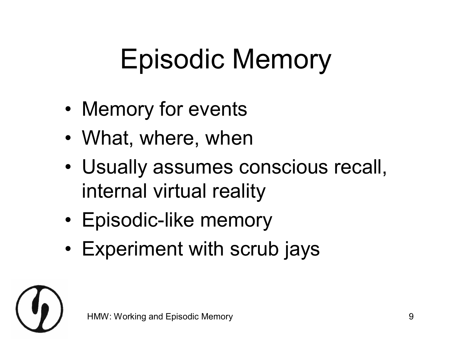#### Episodic Memory

- Memory for events
- What, where, when
- Usually assumes conscious recall, internal virtual reality
- Episodic-like memory
- Experiment with scrub jays

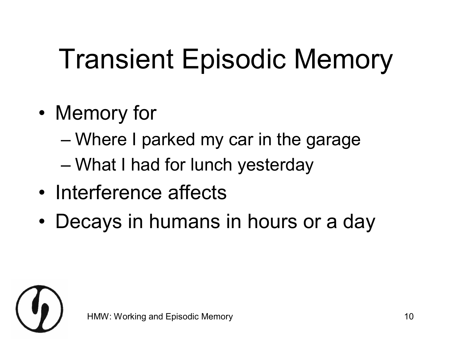### Transient Episodic Memory

- Memory for
	- Where I parked my car in the garage
	- What I had for lunch yesterday
- Interference affects
- Decays in humans in hours or a day

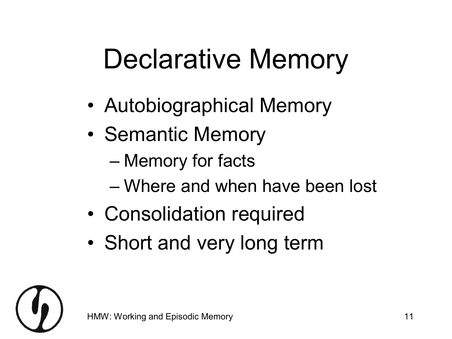#### Declarative Memory

- Autobiographical Memory
- Semantic Memory
	- Memory for facts
	- Where and when have been lost
- Consolidation required
- Short and very long term

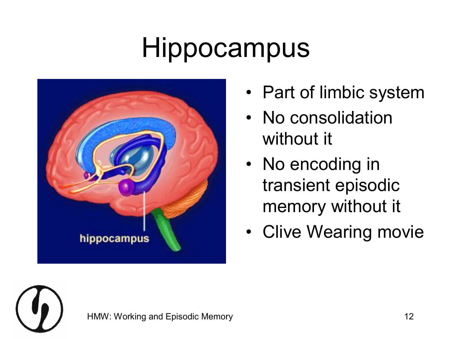#### Hippocampus



- Part of limbic system
- No consolidation without it
- No encoding in transient episodic memory without it
- Clive Wearing movie

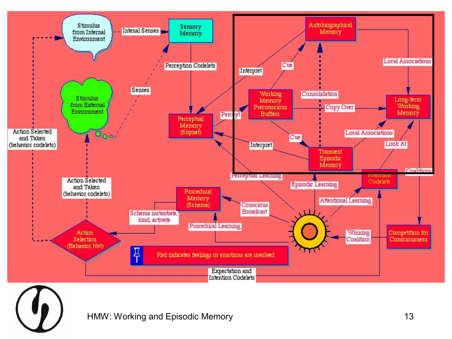

HMW: Working and Episodic Memory **13**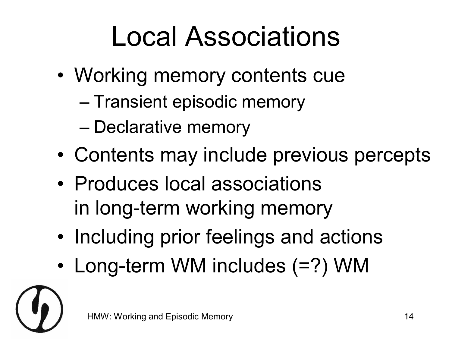#### Local Associations

- Working memory contents cue
	- Transient episodic memory
	- Declarative memory
- Contents may include previous percepts
- Produces local associations in long-term working memory
- Including prior feelings and actions
- Long-term WM includes  $(=?)$  WM

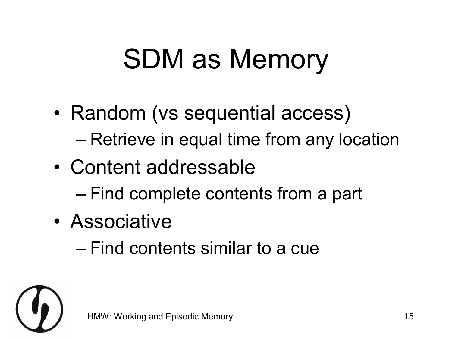#### SDM as Memory

- Random (vs sequential access)
	- Retrieve in equal time from any location
- Content addressable
	- Find complete contents from a part
- Associative
	- Find contents similar to a cue

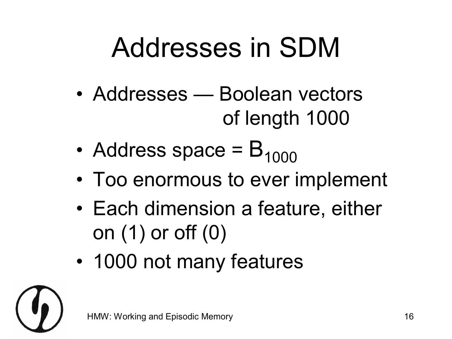#### Addresses in SDM

- Addresses Boolean vectors of length 1000
- Address space =  $B_{1000}$
- Too enormous to ever implement
- Each dimension a feature, either on (1) or off (0)
- 1000 not many features

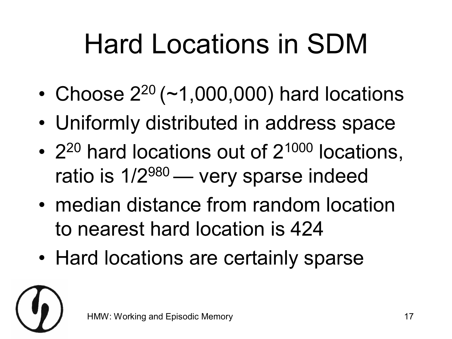#### Hard Locations in SDM

- Choose  $2^{20}$  (~1,000,000) hard locations
- Uniformly distributed in address space
- $2^{20}$  hard locations out of  $2^{1000}$  locations, ratio is  $1/2^{980}$  — very sparse indeed
- median distance from random location to nearest hard location is 424
- Hard locations are certainly sparse

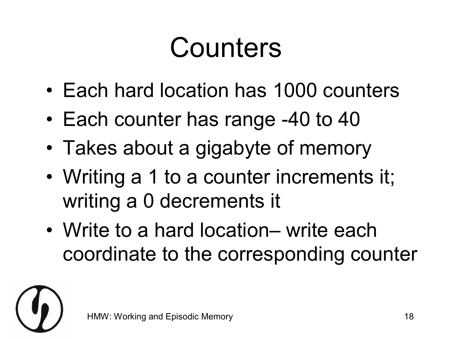#### Counters

- Each hard location has 1000 counters
- Each counter has range -40 to 40
- Takes about a gigabyte of memory
- Writing a 1 to a counter increments it; writing a 0 decrements it
- Write to a hard location– write each coordinate to the corresponding counter

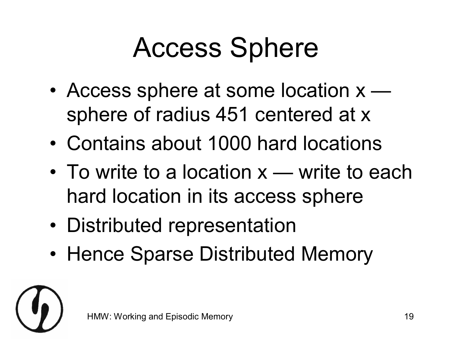#### Access Sphere

- Access sphere at some location  $x$ sphere of radius 451 centered at x
- Contains about 1000 hard locations
- To write to a location  $x$  write to each hard location in its access sphere
- Distributed representation
- Hence Sparse Distributed Memory

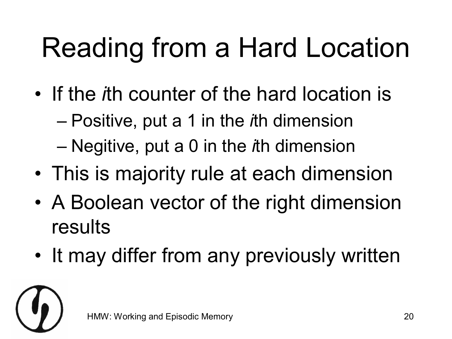#### Reading from a Hard Location

- If the *i*th counter of the hard location is
	- Positive, put a 1 in the *i*th dimension
	- Negitive, put a 0 in the *i*th dimension
- This is majority rule at each dimension
- A Boolean vector of the right dimension results
- It may differ from any previously written

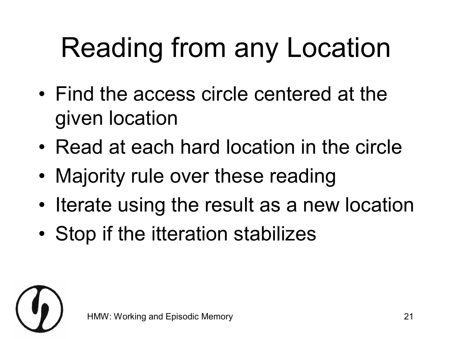#### Reading from any Location

- Find the access circle centered at the given location
- Read at each hard location in the circle
- Majority rule over these reading
- Iterate using the result as a new location
- Stop if the itteration stabilizes

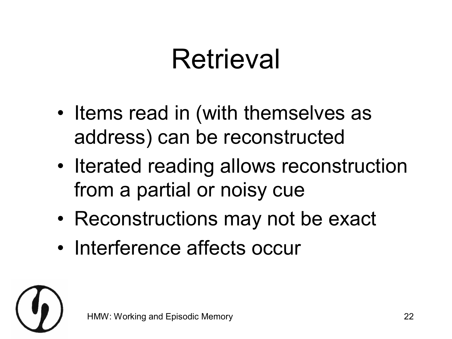#### **Retrieval**

- Items read in (with themselves as address) can be reconstructed
- Iterated reading allows reconstruction from a partial or noisy cue
- Reconstructions may not be exact
- Interference affects occur

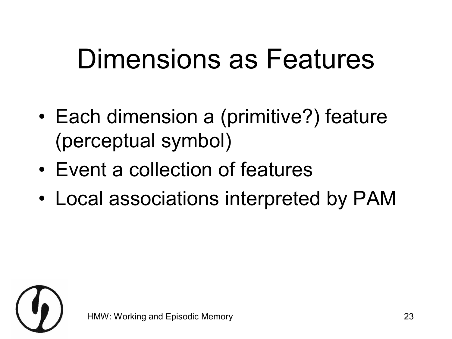#### Dimensions as Features

- Each dimension a (primitive?) feature (perceptual symbol)
- Event a collection of features
- Local associations interpreted by PAM

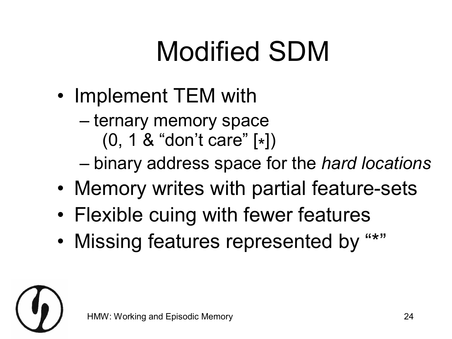#### Modified SDM

- Implement TEM with
	- ternary memory space
	- (0, <sup>1</sup> & "don't care" [\* ]) binary address space for the *hard locations*
- Memory writes with partial feature-sets
- Flexible cuing with fewer features
- Missing features represented by "\*"

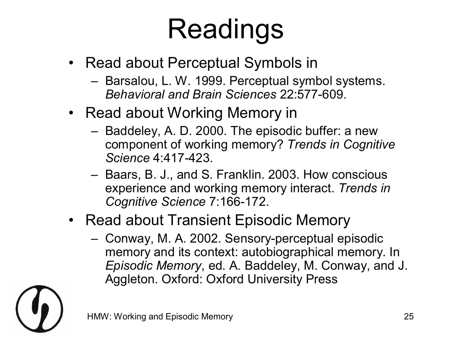#### Readings

- Read about Perceptual Symbols in
	- Barsalou, L. W. 1999. Perceptual symbol systems. **Behavioral and Brain Sciences 22:577-609.**
- Read about Working Memory in
	- Baddeley, A. D. 2000. The episodic buffer: a new component of working memory? *Trends in Cognitive Science* 4:417-423.
	- Baars, B. J., and S. Franklin. 2003. How conscious experience and working memory interact. *Trends in*  **Cognitive Science 7:166-172.**
- Read about Transient Episodic Memory
	- Conway, M. A. 2002. Sensory-perceptual episodic memory and its context: autobiographical memory. In *Episodic Memory*, ed. A. Baddeley, M. Conway, and J. Aggleton. Oxford: Oxford University Press